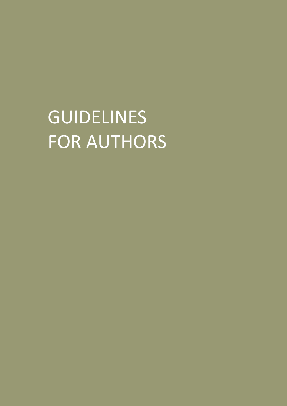# GUIDELINES FOR AUTHORS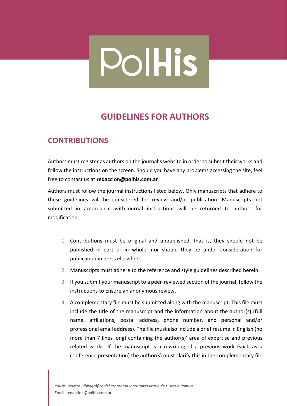# **PolHis**

## **GUIDELINES FOR AUTHORS**

### **CONTRIBUTIONS**

Authors must register as authors on the journal's website in order to submit their works and follow the instructions on the screen. Should you have any problems accessing the site, feel free to contact us at **redaccion@polhis.com.ar**

Authors must follow the journal instructions listed below. Only manuscripts that adhere to these guidelines will be considered for review and/or publication. Manuscripts not submitted in accordance with journal instructions will be returned to authors for modification.

- 1. Contributions must be original and unpublished, that is, they should not be published in part or in whole, nor should they be under consideration for publication in press elsewhere.
- 2. Manuscripts must adhere to the reference and style guidelines described herein.
- 3. If you submit your manuscript to a peer-reviewed section of the journal, follow the instructions to Ensure an anonymous review.
- 4. A complementary file must be submitted along with the manuscript. This file must include the title of the manuscript and the information about the author(s) (full name, affiliations, postal address, phone number, and personal and/or professional email address). The file must also include a brief résumé in English (no more than 7 lines long) containing the author(s)' area of expertise and previous related works. If the manuscript is a rewriting of a previous work (such as a conference presentation) the author(s) must clarify this in the complementary file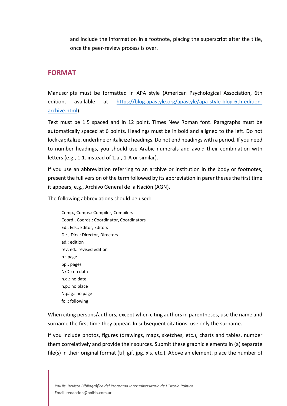and include the information in a footnote, placing the superscript after the title, once the peer-review process is over.

#### **FORMAT**

Manuscripts must be formatted in APA style (American Psychological Association, 6th edition, available at [https://blog.apastyle.org/apastyle/apa-style-blog-6th-edition](https://blog.apastyle.org/apastyle/apa-style-blog-6th-edition-archive.html)[archive.html\)](https://blog.apastyle.org/apastyle/apa-style-blog-6th-edition-archive.html).

Text must be 1.5 spaced and in 12 point, Times New Roman font. Paragraphs must be automatically spaced at 6 points. Headings must be in bold and aligned to the left. Do not lock capitalize, underline or italicize headings. Do not end headings with a period. If you need to number headings, you should use Arabic numerals and avoid their combination with letters (e.g., 1.1. instead of 1.a., 1-A or similar).

If you use an abbreviation referring to an archive or institution in the body or footnotes, present the full version of the term followed by its abbreviation in parentheses the first time it appears, e.g., Archivo General de la Nación (AGN).

The following abbreviations should be used:

Comp., Comps.: Compiler, Compilers Coord., Coords.: Coordinator, Coordinators Ed., Eds.: Editor, Editors Dir., Dirs.: Director, Directors ed.: edition rev. ed.: revised edition p.: page pp.: pages N/D.: no data n.d.: no date n.p.: no place N.pag.: no page fol.: following

When citing persons/authors, except when citing authors in parentheses, use the name and surname the first time they appear. In subsequent citations, use only the surname.

If you include photos, figures (drawings, maps, sketches, etc.), charts and tables, number them correlatively and provide their sources. Submit these graphic elements in (a) separate file(s) in their original format (tif, gif, jpg, xls, etc.). Above an element, place the number of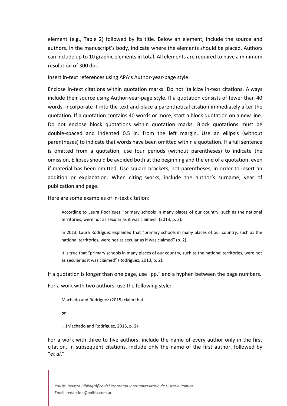element (e.g., Table 2) followed by its title. Below an element, include the source and authors. In the manuscript's body, indicate where the elements should be placed. Authors can include up to 10 graphic elements in total. All elements are required to have a minimum resolution of 300 dpi.

Insert in-text references using APA's Author-year-page style.

Enclose in-text citations within quotation marks. Do not italicize in-text citations. Always include their source using Author-year-page style. If a quotation consists of fewer than 40 words, incorporate it into the text and place a parenthetical citation immediately after the quotation. If a quotation contains 40 words or more, start a block quotation on a new line. Do not enclose block quotations within quotation marks. Block quotations must be double-spaced and indented 0.5 in. from the left margin. Use an ellipsis (without parentheses) to indicate that words have been omitted within a quotation. If a full sentence is omitted from a quotation, use four periods (without parentheses) to indicate the omission. Ellipses should be avoided both at the beginning and the end of a quotation, even if material has been omitted. Use square brackets, not parentheses, in order to insert an addition or explanation. When citing works, include the author's surname, year of publication and page.

Here are some examples of in-text citation:

According to Laura Rodríguez "primary schools in many places of our country, such as the national territories, were not as secular as it was claimed" (2013, p. 2).

In 2013, Laura Rodríguez explained that "primary schools in many places of our country, such as the national territories, were not as secular as it was claimed" (p. 2).

It is true that "primary schools in many places of our country, such as the national territories, were not as secular as it was claimed" (Rodríguez, 2013, p. 2).

If a quotation is longer than one page, use "pp." and a hyphen between the page numbers.

For a work with two authors, use the following style:

Machado and Rodríguez (2015) claim that …

*or*

… (Machado and Rodríguez, 2015, p. 2)

For a work with three to five authors, include the name of every author only in the first citation. In subsequent citations, include only the name of the first author, followed by "*et al*."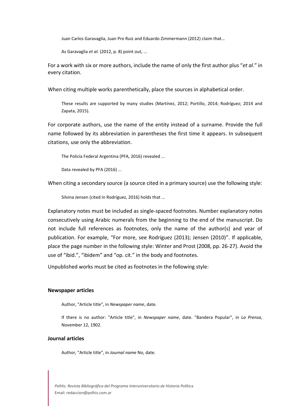Juan Carlos Garavaglia, Juan Pro Ruiz and Eduardo Zimmermann (2012) claim that…

As Garavaglia *et al.* (2012, p. 8) point out, ...

For a work with six or more authors, include the name of only the first author plus "*et al*." in every citation.

When citing multiple works parenthetically, place the sources in alphabetical order.

These results are supported by many studies (Martínez, 2012; Portillo, 2014; Rodríguez; 2014 and Zapata, 2015).

For corporate authors, use the name of the entity instead of a surname. Provide the full name followed by its abbreviation in parentheses the first time it appears. In subsequent citations, use only the abbreviation.

The Policía Federal Argentina (PFA, 2016) revealed ...

Data revealed by PFA (2016) ...

When citing a secondary source (a source cited in a primary source) use the following style:

Silvina Jensen (cited in Rodríguez, 2016) holds that …

Explanatory notes must be included as single-spaced footnotes. Number explanatory notes consecutively using Arabic numerals from the beginning to the end of the manuscript. Do not include full references as footnotes, only the name of the author(s) and year of publication. For example, "For more, see Rodríguez (2013); Jensen (2010)". If applicable, place the page number in the following style: Winter and Prost (2008, pp. 26-27). Avoid the use of "ibid.", "ibidem" and "op. cit." in the body and footnotes.

Unpublished works must be cited as footnotes in the following style:

#### **Newspaper articles**

Author, "Article title", in *Newspaper name*, date.

If there is no author: "Article title", in *Newspaper name*, date. "Bandera Popular", in *La Prensa*, November 12, 1902.

#### **Journal articles**

Author, "Article title", in *Journal name* No, date.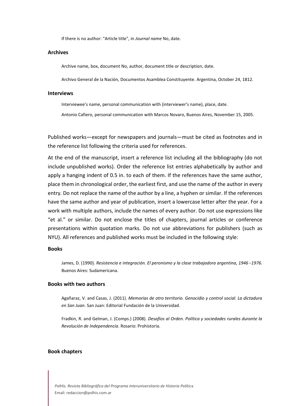If there is no author: "Article title", in *Journal name* No, date.

#### **Archives**

Archive name, box, document No, author, document title or description, date.

Archivo General de la Nación, Documentos Asamblea Constituyente. Argentina, October 24, 1812.

#### **Interviews**

Interviewee's name, personal communication with (interviewer's name), place, date.

Antonio Cafiero, personal communication with Marcos Novaro, Buenos Aires, November 15, 2005.

Published works—except for newspapers and journals—must be cited as footnotes and in the reference list following the criteria used for references.

At the end of the manuscript, insert a reference list including all the bibliography (do not include unpublished works). Order the reference list entries alphabetically by author and apply a hanging indent of 0.5 in. to each of them. If the references have the same author, place them in chronological order, the earliest first, and use the name of the author in every entry. Do not replace the name of the author by a line, a hyphen or similar. If the references have the same author and year of publication, insert a lowercase letter after the year. For a work with multiple authors, include the names of every author. Do not use expressions like "et al." or similar. Do not enclose the titles of chapters, journal articles or conference presentations within quotation marks. Do not use abbreviations for publishers (such as NYU). All references and published works must be included in the following style:

#### **Books**

James, D. (1990). *Resistencia e integración. El peronismo y la clase trabajadora argentina, 1946-1976.* Buenos Aires: Sudamericana.

#### **Books with two authors**

Agañaraz, V. and Casas, J. (2011). *Memorias de otro territorio. Genocidio y control social. La dictadura en San Juan*. San Juan: Editorial Fundación de la Universidad.

Fradkin, R. and Gelman, J. (Comps.) (2008). *Desafíos al Orden. Política y sociedades rurales durante la Revolución de Independencia*. Rosario: Prohistoria.

#### **Book chapters**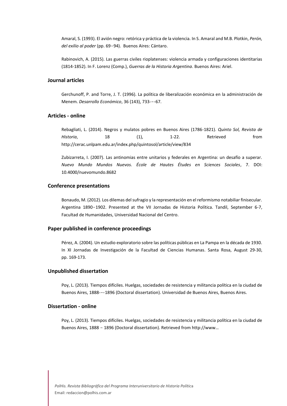Amaral, S. (1993). El avión negro: retórica y práctica de la violencia. In S. Amaral and M.B. Plotkin, *Perón, del exilio al poder* (pp. 69-94). Buenos Aires: Cántaro.

Rabinovich, A. (2015). Las guerras civiles rioplatenses: violencia armada y configuraciones identitarias (1814-1852). In F. Lorenz (Comp.), *Guerras de la Historia Argentina*. Buenos Aires: Ariel.

#### **Journal articles**

Gerchunoff, P. and Torre, J. T. (1996). La política de liberalización económica en la administración de Menem. *Desarrollo Económico*, 36 (143), 733--‐67.

#### **Articles - online**

Rebagliati, L. (2014). Negros y mulatos pobres en Buenos Aires (1786-1821). *Quinto Sol, Revista de Historia*, 18 (1), 1-22. Retrieved from http://cerac.unlpam.edu.ar/index.php/quintosol/article/view/834

Zubizarreta, I. (2007). Las antinomias entre unitarios y federales en Argentina: un desafío a superar. *Nuevo Mundo Mundos Nuevos. École de Hautes Études en Sciences Sociales*, 7. DOI: 10.4000/nuevomundo.8682

#### **Conference presentations**

Bonaudo, M. (2012). Los dilemas del sufragio y la representación en el reformismo notabiliar finisecular. Argentina 1890-1902. Presented at the VII Jornadas de Historia Política. Tandil, September 6-7, Facultad de Humanidades, Universidad Nacional del Centro.

#### **Paper published in conference proceedings**

Pérez, A. (2004). Un estudio exploratorio sobre las políticas públicas en La Pampa en la década de 1930. In XI Jornadas de Investigación de la Facultad de Ciencias Humanas. Santa Rosa, August 29-30, pp. 169-173.

#### **Unpublished dissertation**

Poy, L. (2013). Tiempos difíciles. Huelgas, sociedades de resistencia y militancia política en la ciudad de Buenos Aires, 1888--‐1896 (Doctoral dissertation). Universidad de Buenos Aires, Buenos Aires.

#### **Dissertation - online**

Poy, L. (2013). Tiempos difíciles. Huelgas, sociedades de resistencia y militancia política en la ciudad de Buenos Aires, 1888 - 1896 (Doctoral dissertation). Retrieved from http://www…